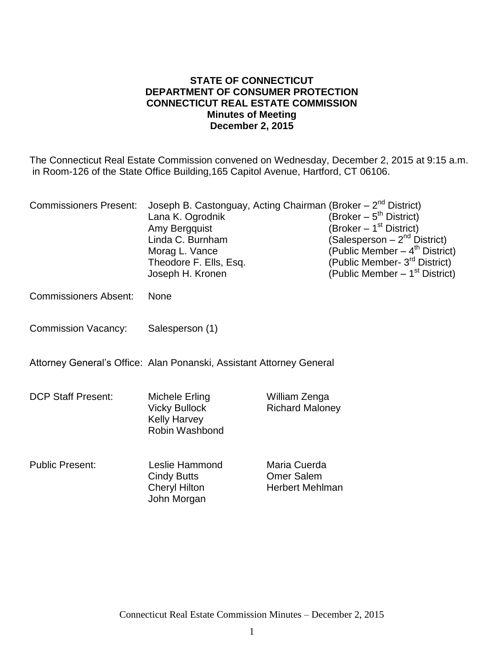#### **STATE OF CONNECTICUT DEPARTMENT OF CONSUMER PROTECTION CONNECTICUT REAL ESTATE COMMISSION Minutes of Meeting December 2, 2015**

The Connecticut Real Estate Commission convened on Wednesday, December 2, 2015 at 9:15 a.m. in Room-126 of the State Office Building,165 Capitol Avenue, Hartford, CT 06106.

| <b>Commissioners Present:</b> | Joseph B. Castonguay, Acting Chairman (Broker - 2 <sup>nd</sup> District)<br>Lana K. Ogrodnik<br>Amy Bergquist<br>Linda C. Burnham<br>Morag L. Vance<br>Theodore F. Ells, Esq.<br>Joseph H. Kronen |                                                             | (Broker – 5 <sup>th</sup> District)<br>(Broker – 1 <sup>st</sup> District)<br>(Salesperson – 2 <sup>nd</sup> District)<br>(Public Member – 4 <sup>th</sup> District)<br>(Public Member- 3 <sup>rd</sup> District)<br>(Public Member $-1st$ District) |
|-------------------------------|----------------------------------------------------------------------------------------------------------------------------------------------------------------------------------------------------|-------------------------------------------------------------|------------------------------------------------------------------------------------------------------------------------------------------------------------------------------------------------------------------------------------------------------|
| <b>Commissioners Absent:</b>  | <b>None</b>                                                                                                                                                                                        |                                                             |                                                                                                                                                                                                                                                      |
| <b>Commission Vacancy:</b>    | Salesperson (1)                                                                                                                                                                                    |                                                             |                                                                                                                                                                                                                                                      |
|                               | Attorney General's Office: Alan Ponanski, Assistant Attorney General                                                                                                                               |                                                             |                                                                                                                                                                                                                                                      |
| <b>DCP Staff Present:</b>     | Michele Erling<br><b>Vicky Bullock</b><br><b>Kelly Harvey</b><br>Robin Washbond                                                                                                                    | William Zenga<br><b>Richard Maloney</b>                     |                                                                                                                                                                                                                                                      |
| <b>Public Present:</b>        | Leslie Hammond<br><b>Cindy Butts</b><br><b>Cheryl Hilton</b><br>John Morgan                                                                                                                        | Maria Cuerda<br><b>Omer Salem</b><br><b>Herbert Mehlman</b> |                                                                                                                                                                                                                                                      |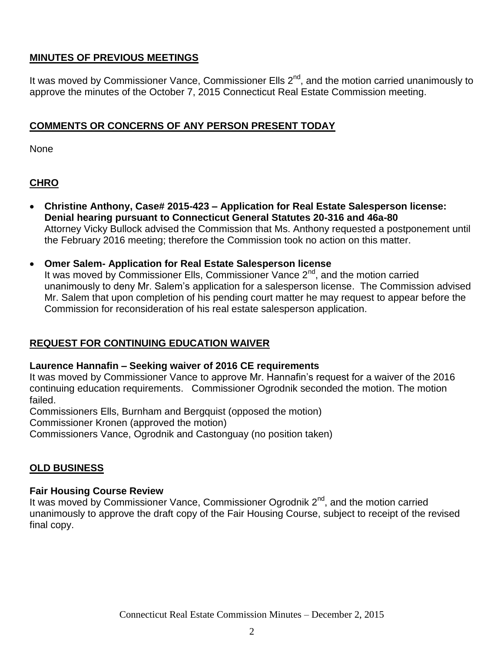## **MINUTES OF PREVIOUS MEETINGS**

It was moved by Commissioner Vance, Commissioner Ells 2<sup>nd</sup>, and the motion carried unanimously to approve the minutes of the October 7, 2015 Connecticut Real Estate Commission meeting.

## **COMMENTS OR CONCERNS OF ANY PERSON PRESENT TODAY**

None

# **CHRO**

- **Christine Anthony, Case# 2015-423 – Application for Real Estate Salesperson license: Denial hearing pursuant to Connecticut General Statutes 20-316 and 46a-80** Attorney Vicky Bullock advised the Commission that Ms. Anthony requested a postponement until the February 2016 meeting; therefore the Commission took no action on this matter.
- **Omer Salem- Application for Real Estate Salesperson license** It was moved by Commissioner Ells, Commissioner Vance  $2<sup>nd</sup>$ , and the motion carried unanimously to deny Mr. Salem's application for a salesperson license. The Commission advised Mr. Salem that upon completion of his pending court matter he may request to appear before the Commission for reconsideration of his real estate salesperson application.

## **REQUEST FOR CONTINUING EDUCATION WAIVER**

### **Laurence Hannafin – Seeking waiver of 2016 CE requirements**

It was moved by Commissioner Vance to approve Mr. Hannafin's request for a waiver of the 2016 continuing education requirements. Commissioner Ogrodnik seconded the motion. The motion failed.

Commissioners Ells, Burnham and Bergquist (opposed the motion)

Commissioner Kronen (approved the motion)

Commissioners Vance, Ogrodnik and Castonguay (no position taken)

### **OLD BUSINESS**

### **Fair Housing Course Review**

It was moved by Commissioner Vance, Commissioner Ogrodnik  $2^{nd}$ , and the motion carried unanimously to approve the draft copy of the Fair Housing Course, subject to receipt of the revised final copy.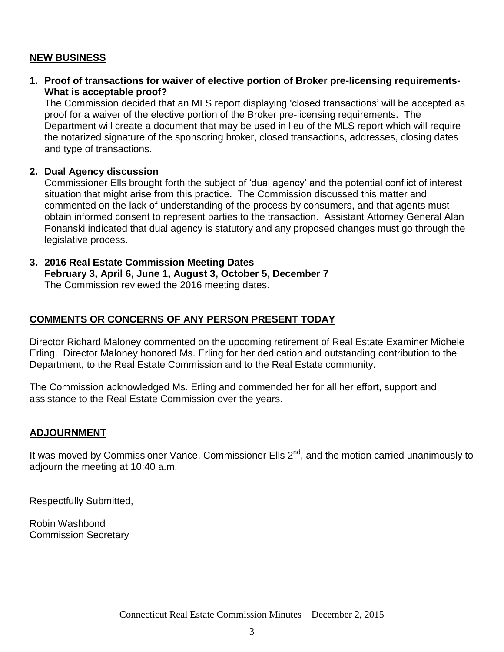### **NEW BUSINESS**

**1. Proof of transactions for waiver of elective portion of Broker pre-licensing requirements-What is acceptable proof?**

The Commission decided that an MLS report displaying 'closed transactions' will be accepted as proof for a waiver of the elective portion of the Broker pre-licensing requirements. The Department will create a document that may be used in lieu of the MLS report which will require the notarized signature of the sponsoring broker, closed transactions, addresses, closing dates and type of transactions.

#### **2. Dual Agency discussion**

Commissioner Ells brought forth the subject of 'dual agency' and the potential conflict of interest situation that might arise from this practice. The Commission discussed this matter and commented on the lack of understanding of the process by consumers, and that agents must obtain informed consent to represent parties to the transaction. Assistant Attorney General Alan Ponanski indicated that dual agency is statutory and any proposed changes must go through the legislative process.

# **3. 2016 Real Estate Commission Meeting Dates**

**February 3, April 6, June 1, August 3, October 5, December 7** The Commission reviewed the 2016 meeting dates.

### **COMMENTS OR CONCERNS OF ANY PERSON PRESENT TODAY**

Director Richard Maloney commented on the upcoming retirement of Real Estate Examiner Michele Erling. Director Maloney honored Ms. Erling for her dedication and outstanding contribution to the Department, to the Real Estate Commission and to the Real Estate community.

The Commission acknowledged Ms. Erling and commended her for all her effort, support and assistance to the Real Estate Commission over the years.

#### **ADJOURNMENT**

It was moved by Commissioner Vance, Commissioner Ells 2<sup>nd</sup>, and the motion carried unanimously to adjourn the meeting at 10:40 a.m.

Respectfully Submitted,

Robin Washbond Commission Secretary